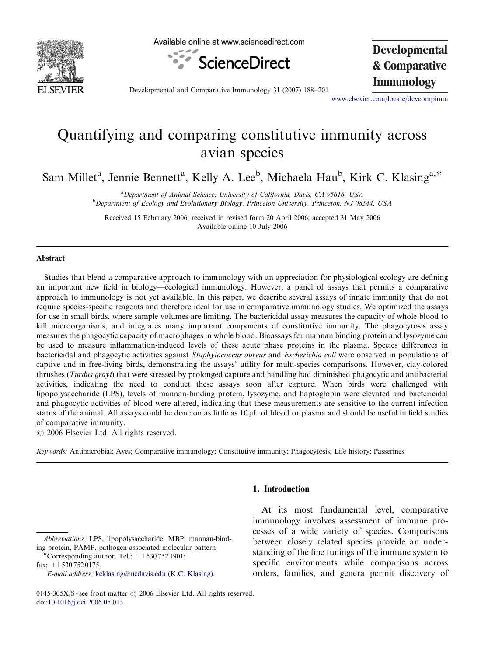



**Developmental & Comparative**

**Immunology** Developmental and Comparative Immunology 31 (2007) 188–201

<www.elsevier.com/locate/devcompimm>

# Quantifying and comparing constitutive immunity across avian species

Sam Millet<sup>a</sup>, Jennie Bennett<sup>a</sup>, Kelly A. Lee<sup>b</sup>, Michaela Hau<sup>b</sup>, Kirk C. Klasing<sup>a,\*</sup>

<sup>a</sup>Department of Animal Science, University of California, Davis, CA 95616, USA <sup>b</sup>Department of Ecology and Evolutionary Biology, Princeton University, Princeton, NJ 08544, USA

Received 15 February 2006; received in revised form 20 April 2006; accepted 31 May 2006 Available online 10 July 2006

#### Abstract

Studies that blend a comparative approach to immunology with an appreciation for physiological ecology are defining an important new field in biology—ecological immunology. However, a panel of assays that permits a comparative approach to immunology is not yet available. In this paper, we describe several assays of innate immunity that do not require species-specific reagents and therefore ideal for use in comparative immunology studies. We optimized the assays for use in small birds, where sample volumes are limiting. The bactericidal assay measures the capacity of whole blood to kill microorganisms, and integrates many important components of constitutive immunity. The phagocytosis assay measures the phagocytic capacity of macrophages in whole blood. Bioassays for mannan binding protein and lysozyme can be used to measure inflammation-induced levels of these acute phase proteins in the plasma. Species differences in bactericidal and phagocytic activities against Staphylococcus aureus and Escherichia coli were observed in populations of captive and in free-living birds, demonstrating the assays' utility for multi-species comparisons. However, clay-colored thrushes (Turdus grayi) that were stressed by prolonged capture and handling had diminished phagocytic and antibacterial activities, indicating the need to conduct these assays soon after capture. When birds were challenged with lipopolysaccharide (LPS), levels of mannan-binding protein, lysozyme, and haptoglobin were elevated and bactericidal and phagocytic activities of blood were altered, indicating that these measurements are sensitive to the current infection status of the animal. All assays could be done on as little as  $10 \mu$ L of blood or plasma and should be useful in field studies of comparative immunity.

 $\odot$  2006 Elsevier Ltd. All rights reserved.

Keywords: Antimicrobial; Aves; Comparative immunology; Constitutive immunity; Phagocytosis; Life history; Passerines

## 1. Introduction

Abbreviations: LPS, lipopolysaccharide; MBP, mannan-binding protein, PAMP, pathogen-associated molecular pattern \*Corresponding author. Tel.: +1 530 752 1901;

E-mail address: [kcklasing@ucdavis.edu \(K.C. Klasing\).](mailto:kcklasing@ucdavis.edu)

fax: +1 530 752 0175.

At its most fundamental level, comparative immunology involves assessment of immune processes of a wide variety of species. Comparisons between closely related species provide an understanding of the fine tunings of the immune system to specific environments while comparisons across orders, families, and genera permit discovery of

<sup>0145-305</sup>X/\$ - see front matter  $\odot$  2006 Elsevier Ltd. All rights reserved. doi[:10.1016/j.dci.2006.05.013](dx.doi.org/10.1016/j.dci.2006.05.013)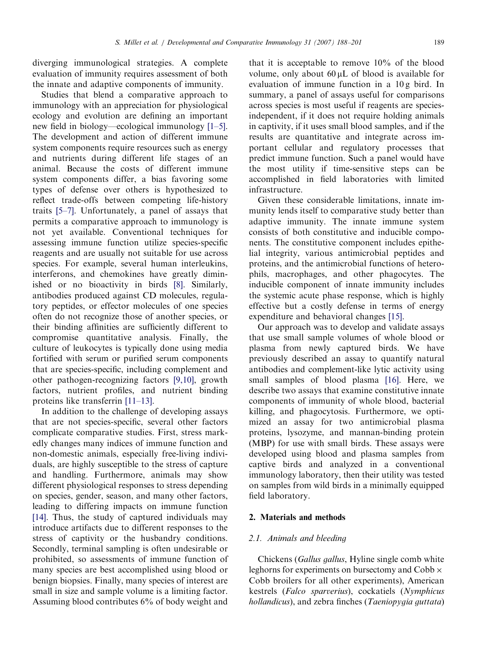diverging immunological strategies. A complete evaluation of immunity requires assessment of both the innate and adaptive components of immunity.

Studies that blend a comparative approach to immunology with an appreciation for physiological ecology and evolution are defining an important new field in biology—ecological immunology [\[1–5\]](#page-12-0). The development and action of different immune system components require resources such as energy and nutrients during different life stages of an animal. Because the costs of different immune system components differ, a bias favoring some types of defense over others is hypothesized to reflect trade-offs between competing life-history traits [\[5–7\].](#page-12-0) Unfortunately, a panel of assays that permits a comparative approach to immunology is not yet available. Conventional techniques for assessing immune function utilize species-specific reagents and are usually not suitable for use across species. For example, several human interleukins, interferons, and chemokines have greatly diminished or no bioactivity in birds [\[8\]](#page-12-0). Similarly, antibodies produced against CD molecules, regulatory peptides, or effector molecules of one species often do not recognize those of another species, or their binding affinities are sufficiently different to compromise quantitative analysis. Finally, the culture of leukocytes is typically done using media fortified with serum or purified serum components that are species-specific, including complement and other pathogen-recognizing factors [\[9,10\],](#page-12-0) growth factors, nutrient profiles, and nutrient binding proteins like transferrin [\[11–13\]](#page-12-0).

In addition to the challenge of developing assays that are not species-specific, several other factors complicate comparative studies. First, stress markedly changes many indices of immune function and non-domestic animals, especially free-living individuals, are highly susceptible to the stress of capture and handling. Furthermore, animals may show different physiological responses to stress depending on species, gender, season, and many other factors, leading to differing impacts on immune function [\[14\]](#page-12-0). Thus, the study of captured individuals may introduce artifacts due to different responses to the stress of captivity or the husbandry conditions. Secondly, terminal sampling is often undesirable or prohibited, so assessments of immune function of many species are best accomplished using blood or benign biopsies. Finally, many species of interest are small in size and sample volume is a limiting factor. Assuming blood contributes 6% of body weight and

that it is acceptable to remove 10% of the blood volume, only about  $60 \mu L$  of blood is available for evaluation of immune function in a 10 g bird. In summary, a panel of assays useful for comparisons across species is most useful if reagents are speciesindependent, if it does not require holding animals in captivity, if it uses small blood samples, and if the results are quantitative and integrate across important cellular and regulatory processes that predict immune function. Such a panel would have the most utility if time-sensitive steps can be accomplished in field laboratories with limited infrastructure.

Given these considerable limitations, innate immunity lends itself to comparative study better than adaptive immunity. The innate immune system consists of both constitutive and inducible components. The constitutive component includes epithelial integrity, various antimicrobial peptides and proteins, and the antimicrobial functions of heterophils, macrophages, and other phagocytes. The inducible component of innate immunity includes the systemic acute phase response, which is highly effective but a costly defense in terms of energy expenditure and behavioral changes [\[15\]](#page-12-0).

Our approach was to develop and validate assays that use small sample volumes of whole blood or plasma from newly captured birds. We have previously described an assay to quantify natural antibodies and complement-like lytic activity using small samples of blood plasma [\[16\].](#page-12-0) Here, we describe two assays that examine constitutive innate components of immunity of whole blood, bacterial killing, and phagocytosis. Furthermore, we optimized an assay for two antimicrobial plasma proteins, lysozyme, and mannan-binding protein (MBP) for use with small birds. These assays were developed using blood and plasma samples from captive birds and analyzed in a conventional immunology laboratory, then their utility was tested on samples from wild birds in a minimally equipped field laboratory.

#### 2. Materials and methods

#### 2.1. Animals and bleeding

Chickens (Gallus gallus, Hyline single comb white leghorns for experiments on bursectomy and Cobb  $\times$ Cobb broilers for all other experiments), American kestrels (Falco sparverius), cockatiels (Nymphicus hollandicus), and zebra finches (Taeniopygia guttata)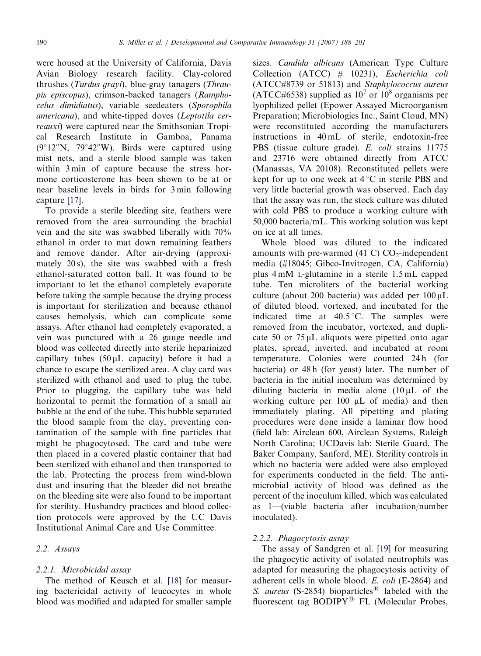were housed at the University of California, Davis Avian Biology research facility. Clay-colored thrushes (Turdus grayi), blue-gray tanagers (Thraupis episcopus), crimson-backed tanagers (Ramphocelus dimidiatus), variable seedeaters (Sporophila americana), and white-tipped doves (Leptotila verreauxi) were captured near the Smithsonian Tropical Research Institute in Gamboa, Panama  $(9°12''N, 79°42''W)$ . Birds were captured using mist nets, and a sterile blood sample was taken within 3 min of capture because the stress hormone corticosterone has been shown to be at or near baseline levels in birds for 3 min following capture [\[17\].](#page-13-0)

To provide a sterile bleeding site, feathers were removed from the area surrounding the brachial vein and the site was swabbed liberally with 70% ethanol in order to mat down remaining feathers and remove dander. After air-drying (approximately 20 s), the site was swabbed with a fresh ethanol-saturated cotton ball. It was found to be important to let the ethanol completely evaporate before taking the sample because the drying process is important for sterilization and because ethanol causes hemolysis, which can complicate some assays. After ethanol had completely evaporated, a vein was punctured with a 26 gauge needle and blood was collected directly into sterile heparinized capillary tubes  $(50 \mu L$  capacity) before it had a chance to escape the sterilized area. A clay card was sterilized with ethanol and used to plug the tube. Prior to plugging, the capillary tube was held horizontal to permit the formation of a small air bubble at the end of the tube. This bubble separated the blood sample from the clay, preventing contamination of the sample with fine particles that might be phagocytosed. The card and tube were then placed in a covered plastic container that had been sterilized with ethanol and then transported to the lab. Protecting the process from wind-blown dust and insuring that the bleeder did not breathe on the bleeding site were also found to be important for sterility. Husbandry practices and blood collection protocols were approved by the UC Davis Institutional Animal Care and Use Committee.

#### 2.2. Assays

#### 2.2.1. Microbicidal assay

The method of Keusch et al. [\[18\]](#page-13-0) for measuring bactericidal activity of leucocytes in whole blood was modified and adapted for smaller sample

sizes. Candida albicans (American Type Culture Collection (ATCC) # 10231), Escherichia coli (ATCC#8739 or 51813) and Staphylococcus aureus (ATCC#6538) supplied as  $10^7$  or  $10^8$  organisms per lyophilized pellet (Epower Assayed Microorganism Preparation; Microbiologics Inc., Saint Cloud, MN) were reconstituted according the manufacturers instructions in 40 mL of sterile, endotoxin-free PBS (tissue culture grade). E. coli strains 11775 and 23716 were obtained directly from ATCC (Manassas, VA 20108). Reconstituted pellets were kept for up to one week at  $4^{\circ}$ C in sterile PBS and very little bacterial growth was observed. Each day that the assay was run, the stock culture was diluted with cold PBS to produce a working culture with 50,000 bacteria/mL. This working solution was kept on ice at all times.

Whole blood was diluted to the indicated amounts with pre-warmed  $(41 \text{ C})$  CO<sub>2</sub>-independent media (#18045; Gibco-Invitrogen, CA, California) plus 4 mM L-glutamine in a sterile 1.5 mL capped tube. Ten microliters of the bacterial working culture (about 200 bacteria) was added per  $100 \mu L$ of diluted blood, vortexed, and incubated for the indicated time at  $40.5^{\circ}$ C. The samples were removed from the incubator, vortexed, and duplicate 50 or  $75 \mu L$  aliquots were pipetted onto agar plates, spread, inverted, and incubated at room temperature. Colonies were counted 24 h (for bacteria) or 48 h (for yeast) later. The number of bacteria in the initial inoculum was determined by diluting bacteria in media alone  $(10 \mu L)$  of the working culture per  $100 \mu L$  of media) and then immediately plating. All pipetting and plating procedures were done inside a laminar flow hood (field lab: Airclean 600, Airclean Systems, Raleigh North Carolina; UCDavis lab: Sterile Guard, The Baker Company, Sanford, ME). Sterility controls in which no bacteria were added were also employed for experiments conducted in the field. The antimicrobial activity of blood was defined as the percent of the inoculum killed, which was calculated as 1—(viable bacteria after incubation/number inoculated).

#### 2.2.2. Phagocytosis assay

The assay of Sandgren et al. [\[19\]](#page-13-0) for measuring the phagocytic activity of isolated neutrophils was adapted for measuring the phagocytosis activity of adherent cells in whole blood. E. coli (E-2864) and S. aureus (S-2854) bioparticles<sup>®</sup> labeled with the fluorescent tag  $BODIPY^{\textcircled{B}}$  FL (Molecular Probes,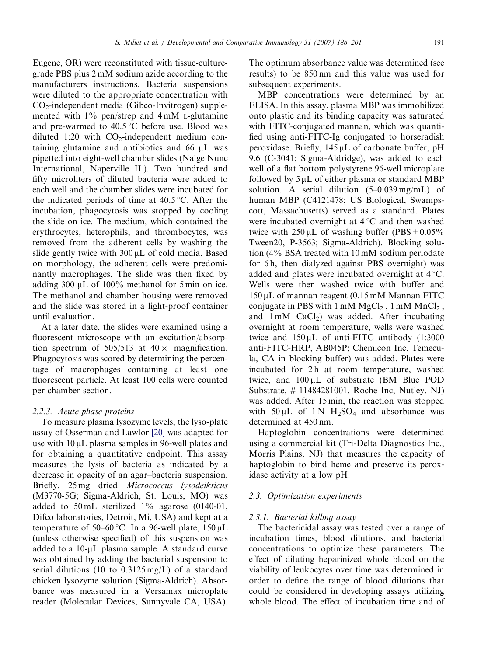Eugene, OR) were reconstituted with tissue-culturegrade PBS plus 2 mM sodium azide according to the manufacturers instructions. Bacteria suspensions were diluted to the appropriate concentration with  $CO<sub>2</sub>$ -independent media (Gibco-Invitrogen) supplemented with 1% pen/strep and 4 mM L-glutamine and pre-warmed to  $40.5^{\circ}$ C before use. Blood was diluted 1:20 with  $CO<sub>2</sub>$ -independent medium containing glutamine and antibiotics and  $66 \mu L$  was pipetted into eight-well chamber slides (Nalge Nunc International, Naperville IL). Two hundred and fifty microliters of diluted bacteria were added to each well and the chamber slides were incubated for the indicated periods of time at  $40.5\degree$ C. After the incubation, phagocytosis was stopped by cooling the slide on ice. The medium, which contained the erythrocytes, heterophils, and thrombocytes, was removed from the adherent cells by washing the slide gently twice with  $300 \mu L$  of cold media. Based on morphology, the adherent cells were predominantly macrophages. The slide was then fixed by adding 300  $\mu$ L of 100% methanol for 5 min on ice. The methanol and chamber housing were removed and the slide was stored in a light-proof container until evaluation.

At a later date, the slides were examined using a fluorescent microscope with an excitation/absorption spectrum of 505/513 at  $40 \times$  magnification. Phagocytosis was scored by determining the percentage of macrophages containing at least one fluorescent particle. At least 100 cells were counted per chamber section.

#### 2.2.3. Acute phase proteins

To measure plasma lysozyme levels, the lyso-plate assay of Osserman and Lawlor [\[20\]](#page-13-0) was adapted for use with  $10 \mu L$  plasma samples in 96-well plates and for obtaining a quantitative endpoint. This assay measures the lysis of bacteria as indicated by a decrease in opacity of an agar–bacteria suspension. Briefly, 25 mg dried Micrococcus lysodeikticus (M3770-5G; Sigma-Aldrich, St. Louis, MO) was added to 50 mL sterilized 1% agarose (0140-01, Difco laboratories, Detroit, Mi, USA) and kept at a temperature of 50–60 °C. In a 96-well plate,  $150 \mu L$ (unless otherwise specified) of this suspension was added to a  $10$ - $\mu$ L plasma sample. A standard curve was obtained by adding the bacterial suspension to serial dilutions (10 to  $0.3125 \text{ mg/L}$ ) of a standard chicken lysozyme solution (Sigma-Aldrich). Absorbance was measured in a Versamax microplate reader (Molecular Devices, Sunnyvale CA, USA).

The optimum absorbance value was determined (see results) to be 850 nm and this value was used for subsequent experiments.

MBP concentrations were determined by an ELISA. In this assay, plasma MBP was immobilized onto plastic and its binding capacity was saturated with FITC-conjugated mannan, which was quantified using anti-FITC-Ig conjugated to horseradish peroxidase. Briefly, 145 µL of carbonate buffer, pH 9.6 (C-3041; Sigma-Aldridge), was added to each well of a flat bottom polystyrene 96-well microplate followed by  $5 \mu L$  of either plasma or standard MBP solution. A serial dilution  $(5-0.039 \text{ mg/mL})$  of human MBP (C4121478; US Biological, Swampscott, Massachusetts) served as a standard. Plates were incubated overnight at  $4^{\circ}$ C and then washed twice with  $250 \mu L$  of washing buffer (PBS +  $0.05\%$ ) Tween20, P-3563; Sigma-Aldrich). Blocking solution (4% BSA treated with 10 mM sodium periodate for 6 h, then dialyzed against PBS overnight) was added and plates were incubated overnight at  $4^{\circ}$ C. Wells were then washed twice with buffer and  $150 \mu L$  of mannan reagent (0.15 mM Mannan FITC conjugate in PBS with  $1 \text{ mM } MgCl<sub>2</sub>$ ,  $1 \text{ mM } MnCl<sub>2</sub>$ , and  $1 \text{ mM }$  CaCl<sub>2</sub>) was added. After incubating overnight at room temperature, wells were washed twice and  $150 \mu L$  of anti-FITC antibody (1:3000) anti-FITC-HRP, AB045P; Chemicon Inc, Temecula, CA in blocking buffer) was added. Plates were incubated for 2h at room temperature, washed twice, and  $100 \mu L$  of substrate (BM Blue POD Substrate, # 11484281001, Roche Inc, Nutley, NJ) was added. After 15 min, the reaction was stopped with  $50 \mu L$  of 1 N H<sub>2</sub>SO<sub>4</sub> and absorbance was determined at 450 nm.

Haptoglobin concentrations were determined using a commercial kit (Tri-Delta Diagnostics Inc., Morris Plains, NJ) that measures the capacity of haptoglobin to bind heme and preserve its peroxidase activity at a low pH.

## 2.3. Optimization experiments

#### 2.3.1. Bacterial killing assay

The bactericidal assay was tested over a range of incubation times, blood dilutions, and bacterial concentrations to optimize these parameters. The effect of diluting heparinized whole blood on the viability of leukocytes over time was determined in order to define the range of blood dilutions that could be considered in developing assays utilizing whole blood. The effect of incubation time and of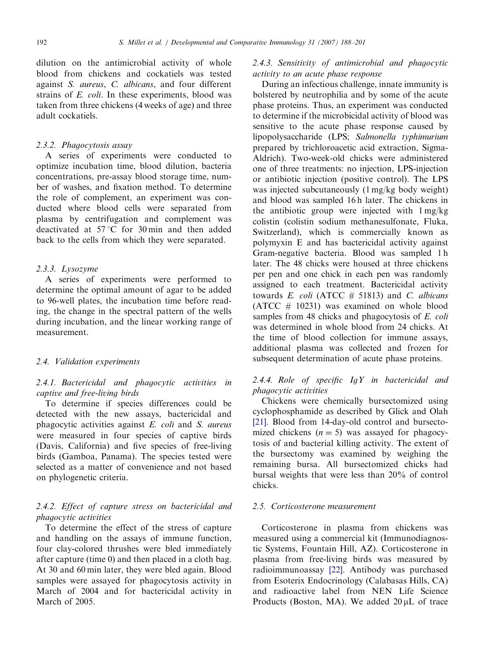dilution on the antimicrobial activity of whole blood from chickens and cockatiels was tested against S. aureus, C. albicans, and four different strains of E. coli. In these experiments, blood was taken from three chickens (4 weeks of age) and three adult cockatiels.

#### 2.3.2. Phagocytosis assay

A series of experiments were conducted to optimize incubation time, blood dilution, bacteria concentrations, pre-assay blood storage time, number of washes, and fixation method. To determine the role of complement, an experiment was conducted where blood cells were separated from plasma by centrifugation and complement was deactivated at  $57^{\circ}$ C for 30 min and then added back to the cells from which they were separated.

#### 2.3.3. Lysozyme

A series of experiments were performed to determine the optimal amount of agar to be added to 96-well plates, the incubation time before reading, the change in the spectral pattern of the wells during incubation, and the linear working range of measurement.

## 2.4. Validation experiments

# 2.4.1. Bactericidal and phagocytic activities in captive and free-living birds

To determine if species differences could be detected with the new assays, bactericidal and phagocytic activities against E. coli and S. aureus were measured in four species of captive birds (Davis, California) and five species of free-living birds (Gamboa, Panama). The species tested were selected as a matter of convenience and not based on phylogenetic criteria.

# 2.4.2. Effect of capture stress on bactericidal and phagocytic activities

To determine the effect of the stress of capture and handling on the assays of immune function, four clay-colored thrushes were bled immediately after capture (time 0) and then placed in a cloth bag. At 30 and 60 min later, they were bled again. Blood samples were assayed for phagocytosis activity in March of 2004 and for bactericidal activity in March of 2005.

## 2.4.3. Sensitivity of antimicrobial and phagocytic activity to an acute phase response

During an infectious challenge, innate immunity is bolstered by neutrophilia and by some of the acute phase proteins. Thus, an experiment was conducted to determine if the microbicidal activity of blood was sensitive to the acute phase response caused by lipopolysaccharide (LPS; Salmonella typhimurium prepared by trichloroacetic acid extraction, Sigma-Aldrich). Two-week-old chicks were administered one of three treatments: no injection, LPS-injection or antibiotic injection (positive control). The LPS was injected subcutaneously (1 mg/kg body weight) and blood was sampled 16 h later. The chickens in the antibiotic group were injected with 1 mg/kg colistin (colistin sodium methanesulfonate, Fluka, Switzerland), which is commercially known as polymyxin E and has bactericidal activity against Gram-negative bacteria. Blood was sampled 1 h later. The 48 chicks were housed at three chickens per pen and one chick in each pen was randomly assigned to each treatment. Bactericidal activity towards  $E.$  coli (ATCC  $#$  51813) and  $C.$  albicans  $(ATCC \# 10231)$  was examined on whole blood samples from 48 chicks and phagocytosis of E. coli was determined in whole blood from 24 chicks. At the time of blood collection for immune assays, additional plasma was collected and frozen for subsequent determination of acute phase proteins.

# 2.4.4. Role of specific  $IgY$  in bactericidal and phagocytic activities

Chickens were chemically bursectomized using cyclophosphamide as described by Glick and Olah [\[21\].](#page-13-0) Blood from 14-day-old control and bursectomized chickens  $(n = 5)$  was assayed for phagocytosis of and bacterial killing activity. The extent of the bursectomy was examined by weighing the remaining bursa. All bursectomized chicks had bursal weights that were less than 20% of control chicks.

## 2.5. Corticosterone measurement

Corticosterone in plasma from chickens was measured using a commercial kit (Immunodiagnostic Systems, Fountain Hill, AZ). Corticosterone in plasma from free-living birds was measured by radioimmunoassay [\[22\]](#page-13-0). Antibody was purchased from Esoterix Endocrinology (Calabasas Hills, CA) and radioactive label from NEN Life Science Products (Boston, MA). We added 20 µL of trace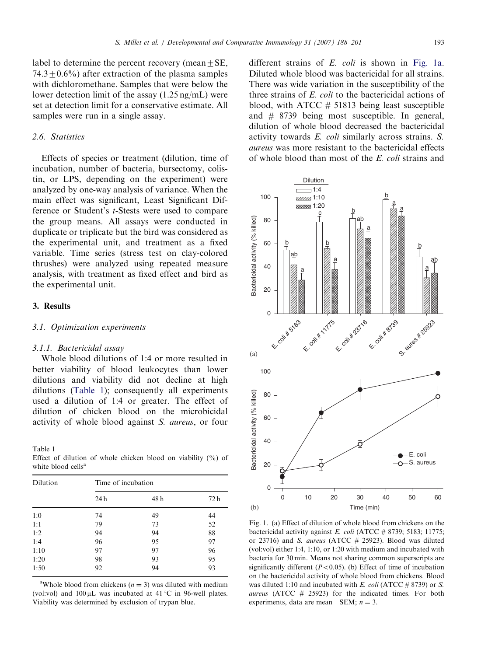<span id="page-5-0"></span>label to determine the percent recovery (mean  $+SE$ ,  $74.3+0.6\%$ ) after extraction of the plasma samples with dichloromethane. Samples that were below the lower detection limit of the assay (1.25 ng/mL) were set at detection limit for a conservative estimate. All samples were run in a single assay.

## 2.6. Statistics

Effects of species or treatment (dilution, time of incubation, number of bacteria, bursectomy, colistin, or LPS, depending on the experiment) were analyzed by one-way analysis of variance. When the main effect was significant, Least Significant Difference or Student's t-Stests were used to compare the group means. All assays were conducted in duplicate or triplicate but the bird was considered as the experimental unit, and treatment as a fixed variable. Time series (stress test on clay-colored thrushes) were analyzed using repeated measure analysis, with treatment as fixed effect and bird as the experimental unit.

## 3. Results

## 3.1. Optimization experiments

#### 3.1.1. Bactericidal assay

Whole blood dilutions of 1:4 or more resulted in better viability of blood leukocytes than lower dilutions and viability did not decline at high dilutions (Table 1); consequently all experiments used a dilution of 1:4 or greater. The effect of dilution of chicken blood on the microbicidal activity of whole blood against S. aureus, or four

Table 1

Effect of dilution of whole chicken blood on viability (%) of white blood cells<sup>a</sup>

| Dilution | Time of incubation |     |      |  |
|----------|--------------------|-----|------|--|
|          | 24h                | 48h | 72 h |  |
| 1:0      | 74                 | 49  | 44   |  |
| 1:1      | 79                 | 73  | 52   |  |
| 1:2      | 94                 | 94  | 88   |  |
| 1:4      | 96                 | 95  | 97   |  |
| 1:10     | 97                 | 97  | 96   |  |
| 1:20     | 98                 | 93  | 95   |  |
| 1:50     | 92                 | 94  | 93   |  |

<sup>a</sup>Whole blood from chickens ( $n = 3$ ) was diluted with medium (vol:vol) and  $100 \mu L$  was incubated at  $41 \degree C$  in 96-well plates. Viability was determined by exclusion of trypan blue.

different strains of E. coli is shown in Fig. 1a. Diluted whole blood was bactericidal for all strains. There was wide variation in the susceptibility of the three strains of E. coli to the bactericidal actions of blood, with ATCC  $# 51813$  being least susceptible and # 8739 being most susceptible. In general, dilution of whole blood decreased the bactericidal activity towards E. coli similarly across strains. S. aureus was more resistant to the bactericidal effects of whole blood than most of the E. coli strains and



Fig. 1. (a) Effect of dilution of whole blood from chickens on the bactericidal activity against E. coli (ATCC  $\#$  8739; 5183; 11775; or 23716) and S. aureus (ATCC  $#$  25923). Blood was diluted (vol:vol) either 1:4, 1:10, or 1:20 with medium and incubated with bacteria for 30 min. Means not sharing common superscripts are significantly different  $(P<0.05)$ . (b) Effect of time of incubation on the bactericidal activity of whole blood from chickens. Blood was diluted 1:10 and incubated with E. coli (ATCC  $\#$  8739) or S. aureus (ATCC # 25923) for the indicated times. For both experiments, data are mean + SEM;  $n = 3$ .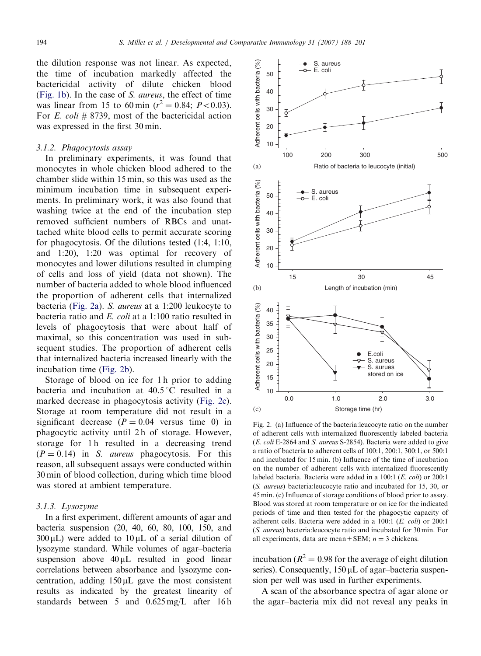the dilution response was not linear. As expected, the time of incubation markedly affected the bactericidal activity of dilute chicken blood ([Fig. 1b](#page-5-0)). In the case of S. aureus, the effect of time was linear from 15 to 60 min ( $r^2 = 0.84$ ;  $P < 0.03$ ). For E. coli  $\#$  8739, most of the bactericidal action was expressed in the first 30 min.

#### 3.1.2. Phagocytosis assay

In preliminary experiments, it was found that monocytes in whole chicken blood adhered to the chamber slide within 15 min, so this was used as the minimum incubation time in subsequent experiments. In preliminary work, it was also found that washing twice at the end of the incubation step removed sufficient numbers of RBCs and unattached white blood cells to permit accurate scoring for phagocytosis. Of the dilutions tested (1:4, 1:10, and 1:20), 1:20 was optimal for recovery of monocytes and lower dilutions resulted in clumping of cells and loss of yield (data not shown). The number of bacteria added to whole blood influenced the proportion of adherent cells that internalized bacteria (Fig. 2a). S. aureus at a 1:200 leukocyte to bacteria ratio and E. coli at a 1:100 ratio resulted in levels of phagocytosis that were about half of maximal, so this concentration was used in subsequent studies. The proportion of adherent cells that internalized bacteria increased linearly with the incubation time (Fig. 2b).

Storage of blood on ice for 1 h prior to adding bacteria and incubation at  $40.5\degree$ C resulted in a marked decrease in phagocytosis activity (Fig. 2c). Storage at room temperature did not result in a significant decrease  $(P = 0.04$  versus time 0) in phagocytic activity until 2 h of storage. However, storage for 1 h resulted in a decreasing trend  $(P = 0.14)$  in S. *aureus* phagocytosis. For this reason, all subsequent assays were conducted within 30 min of blood collection, during which time blood was stored at ambient temperature.

#### 3.1.3. Lysozyme

In a first experiment, different amounts of agar and bacteria suspension (20, 40, 60, 80, 100, 150, and  $300 \,\mu L$ ) were added to  $10 \,\mu L$  of a serial dilution of lysozyme standard. While volumes of agar–bacteria suspension above  $40 \mu L$  resulted in good linear correlations between absorbance and lysozyme concentration, adding  $150 \mu L$  gave the most consistent results as indicated by the greatest linearity of standards between 5 and 0.625 mg/L after 16 h



Fig. 2. (a) Influence of the bacteria:leucocyte ratio on the number of adherent cells with internalized fluorescently labeled bacteria (E. coli E-2864 and S. aureus S-2854). Bacteria were added to give a ratio of bacteria to adherent cells of 100:1, 200:1, 300:1, or 500:1 and incubated for 15 min. (b) Influence of the time of incubation on the number of adherent cells with internalized fluorescently labeled bacteria. Bacteria were added in a 100:1 (E. coli) or 200:1 (S. aureus) bacteria:leucocyte ratio and incubated for 15, 30, or 45 min. (c) Influence of storage conditions of blood prior to assay. Blood was stored at room temperature or on ice for the indicated periods of time and then tested for the phagocytic capacity of adherent cells. Bacteria were added in a  $100:1$  (*E. coli*) or  $200:1$ (S. aureus) bacteria:leucocyte ratio and incubated for 30 min. For all experiments, data are mean + SEM;  $n = 3$  chickens.

incubation ( $R^2 = 0.98$  for the average of eight dilution series). Consequently,  $150 \mu L$  of agar–bacteria suspension per well was used in further experiments.

A scan of the absorbance spectra of agar alone or the agar–bacteria mix did not reveal any peaks in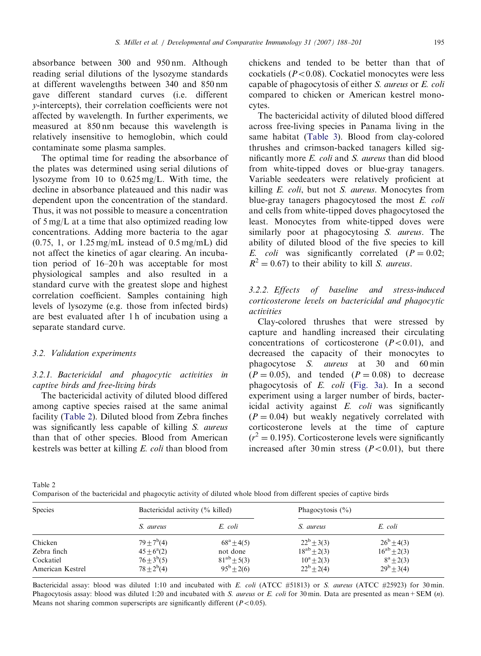<span id="page-7-0"></span>absorbance between 300 and 950 nm. Although reading serial dilutions of the lysozyme standards at different wavelengths between 340 and 850 nm gave different standard curves (i.e. different y-intercepts), their correlation coefficients were not affected by wavelength. In further experiments, we measured at 850 nm because this wavelength is relatively insensitive to hemoglobin, which could contaminate some plasma samples.

The optimal time for reading the absorbance of the plates was determined using serial dilutions of lysozyme from 10 to 0.625 mg/L. With time, the decline in absorbance plateaued and this nadir was dependent upon the concentration of the standard. Thus, it was not possible to measure a concentration of 5 mg/L at a time that also optimized reading low concentrations. Adding more bacteria to the agar (0.75, 1, or 1.25 mg/mL instead of 0.5 mg/mL) did not affect the kinetics of agar clearing. An incubation period of 16–20 h was acceptable for most physiological samples and also resulted in a standard curve with the greatest slope and highest correlation coefficient. Samples containing high levels of lysozyme (e.g. those from infected birds) are best evaluated after 1 h of incubation using a separate standard curve.

#### 3.2. Validation experiments

# 3.2.1. Bactericidal and phagocytic activities in captive birds and free-living birds

The bactericidal activity of diluted blood differed among captive species raised at the same animal facility (Table 2). Diluted blood from Zebra finches was significantly less capable of killing S. aureus than that of other species. Blood from American kestrels was better at killing E. coli than blood from chickens and tended to be better than that of cockatiels ( $P < 0.08$ ). Cockatiel monocytes were less capable of phagocytosis of either S. aureus or E. coli compared to chicken or American kestrel monocytes.

The bactericidal activity of diluted blood differed across free-living species in Panama living in the same habitat ([Table 3](#page-8-0)). Blood from clay-colored thrushes and crimson-backed tanagers killed significantly more E. coli and S. aureus than did blood from white-tipped doves or blue-gray tanagers. Variable seedeaters were relatively proficient at killing E. coli, but not S. aureus. Monocytes from blue-gray tanagers phagocytosed the most E. coli and cells from white-tipped doves phagocytosed the least. Monocytes from white-tipped doves were similarly poor at phagocytosing S. aureus. The ability of diluted blood of the five species to kill E. coli was significantly correlated  $(P = 0.02$ ;  $R^2 = 0.67$ ) to their ability to kill *S. aureus.* 

# 3.2.2. Effects of baseline and stress-induced corticosterone levels on bactericidal and phagocytic activities

Clay-colored thrushes that were stressed by capture and handling increased their circulating concentrations of corticosterone  $(P<0.01)$ , and decreased the capacity of their monocytes to phagocytose S. aureus at 30 and 60 min  $(P = 0.05)$ , and tended  $(P = 0.08)$  to decrease phagocytosis of E. coli ([Fig. 3a\)](#page-8-0). In a second experiment using a larger number of birds, bactericidal activity against  $E$ .  $\text{coli}$  was significantly  $(P = 0.04)$  but weakly negatively correlated with corticosterone levels at the time of capture  $(r^2 = 0.195)$ . Corticosterone levels were significantly increased after 30 min stress  $(P<0.01)$ , but there

Table 2

Comparison of the bactericidal and phagocytic activity of diluted whole blood from different species of captive birds

| <b>Species</b>   |                       | Bactericidal activity (% killed) |                    | Phagocytosis $(\% )$ |  |
|------------------|-----------------------|----------------------------------|--------------------|----------------------|--|
|                  | S. aureus             | E. coli                          | S. aureus          | E. coli              |  |
| Chicken          | $79 \pm 7^{b}(4)$     | $68^{\rm a} \pm 4(5)$            | $22^b + 3(3)$      | $26^{b} \pm 4(3)$    |  |
| Zebra finch      | $45 \pm 6^{\circ}(2)$ | not done                         | $18^{ab} \pm 2(3)$ | $16^{ab} \pm 2(3)$   |  |
| Cockatiel        | $76 \pm 3^{b} (5)$    | $81^{ab} \pm 5(3)$               | $10^a \pm 2(3)$    | $8^a \pm 2(3)$       |  |
| American Kestrel | $78 \pm 2^{b}(4)$     | $95^b \pm 2(6)$                  | $22^b \pm 2(4)$    | $29^{b} \pm 3(4)$    |  |

Bactericidal assay: blood was diluted 1:10 and incubated with E. coli (ATCC #51813) or S. aureus (ATCC #25923) for 30 min. Phagocytosis assay: blood was diluted 1:20 and incubated with S. aureus or E. coli for 30 min. Data are presented as mean + SEM (n). Means not sharing common superscripts are significantly different  $(P<0.05)$ .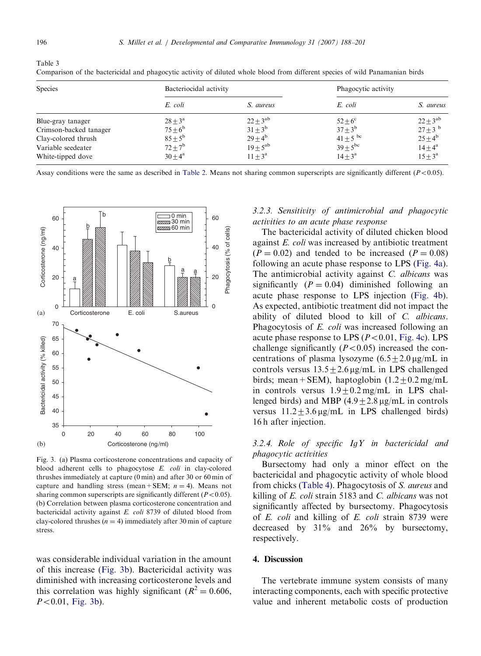<span id="page-8-0"></span>

Table 3

| <b>Species</b>         | Bacteriocidal activity |                 | Phagocytic activity |                         |
|------------------------|------------------------|-----------------|---------------------|-------------------------|
|                        | E. coli                | S. aureus       | E. coli             | S. aureus               |
| Blue-gray tanager      | $28 \pm 3^{\rm a}$     | $22 \pm 3^{ab}$ | $52 \pm 6^{\circ}$  | $22 \pm 3^{ab}$         |
| Crimson-backed tanager | $75 \pm 6^{\rm b}$     | $31 \pm 3^b$    | $37 \pm 3^{\rm b}$  | $27 \pm 3$ <sup>b</sup> |
| Clay-colored thrush    | $85 \pm 5^{\rm b}$     | $29 + 4^b$      | $41 \pm 5$ bc       | $25+4^b$                |
| Variable seedeater     | $72+7^{\rm b}$         | $19 \pm 5^{ab}$ | $39 \pm 5^{bc}$     | $14 + 4^a$              |
| White-tipped dove      | $30+4^a$               | $11 + 3^a$      | $14 + 3^{\rm a}$    | $15 + 3^a$              |

Comparison of the bactericidal and phagocytic activity of diluted whole blood from different species of wild Panamanian birds

Assay conditions were the same as described in [Table 2.](#page-7-0) Means not sharing common superscripts are significantly different  $(P<0.05)$ .



Fig. 3. (a) Plasma corticosterone concentrations and capacity of blood adherent cells to phagocytose E. coli in clay-colored thrushes immediately at capture (0 min) and after 30 or 60 min of capture and handling stress (mean+SEM;  $n = 4$ ). Means not sharing common superscripts are significantly different  $(P<0.05)$ . (b) Correlation between plasma corticosterone concentration and bactericidal activity against E. coli 8739 of diluted blood from clay-colored thrushes ( $n = 4$ ) immediately after 30 min of capture stress.

was considerable individual variation in the amount of this increase (Fig. 3b). Bactericidal activity was diminished with increasing corticosterone levels and this correlation was highly significant ( $R^2 = 0.606$ ,  $P < 0.01$ , Fig. 3b).

# 3.2.3. Sensitivity of antimicrobial and phagocytic activities to an acute phase response

The bactericidal activity of diluted chicken blood against E. coli was increased by antibiotic treatment  $(P = 0.02)$  and tended to be increased  $(P = 0.08)$ following an acute phase response to LPS [\(Fig. 4a](#page-9-0)). The antimicrobial activity against C. albicans was significantly ( $P = 0.04$ ) diminished following an acute phase response to LPS injection ([Fig. 4b](#page-9-0)). As expected, antibiotic treatment did not impact the ability of diluted blood to kill of C. albicans. Phagocytosis of E. coli was increased following an acute phase response to LPS  $(P<0.01,$  [Fig. 4c\)](#page-9-0). LPS challenge significantly  $(P<0.05)$  increased the concentrations of plasma lysozyme  $(6.5 \pm 2.0 \,\mu\text{g/mL}$  in controls versus  $13.5\pm2.6 \,\mu$ g/mL in LPS challenged birds; mean + SEM), haptoglobin  $(1.2+0.2 \text{ mg/mL})$ in controls versus  $1.9 \pm 0.2$  mg/mL in LPS challenged birds) and MBP  $(4.9+2.8 \mu g/mL$  in controls versus  $11.2 \pm 3.6 \,\mu$ g/mL in LPS challenged birds) 16 h after injection.

# $3.2.4$ . Role of specific  $IgY$  in bactericidal and phagocytic activities

Bursectomy had only a minor effect on the bactericidal and phagocytic activity of whole blood from chicks ([Table 4](#page-9-0)). Phagocytosis of S. aureus and killing of *E. coli* strain 5183 and *C. albicans* was not significantly affected by bursectomy. Phagocytosis of E. coli and killing of E. coli strain 8739 were decreased by 31% and 26% by bursectomy, respectively.

## 4. Discussion

The vertebrate immune system consists of many interacting components, each with specific protective value and inherent metabolic costs of production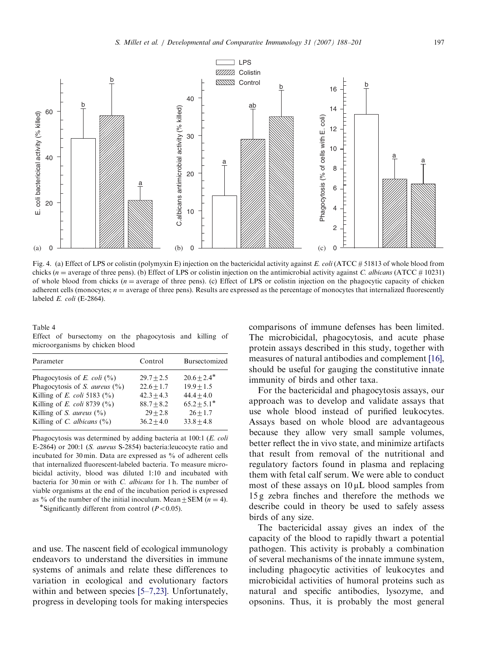<span id="page-9-0"></span>

Fig. 4. (a) Effect of LPS or colistin (polymyxin E) injection on the bactericidal activity against E. coli (ATCC # 51813 of whole blood from chicks ( $n =$  average of three pens). (b) Effect of LPS or colistin injection on the antimicrobial activity against C. albicans (ATCC  $\#$  10231) of whole blood from chicks ( $n =$  average of three pens). (c) Effect of LPS or colistin injection on the phagocytic capacity of chicken adherent cells (monocytes;  $n =$  average of three pens). Results are expressed as the percentage of monocytes that internalized fluorescently labeled E. coli (E-2864).

Table 4 Effect of bursectomy on the phagocytosis and killing of microorganisms by chicken blood

| Parameter                                | Control      | Bursectomized  |
|------------------------------------------|--------------|----------------|
| Phagocytosis of E. coli $(\% )$          | $29.7 + 2.5$ | $20.6 + 2.4*$  |
| Phagocytosis of <i>S. aureus</i> $(\% )$ | $22.6 + 1.7$ | $19.9 + 1.5$   |
| Killing of E. coli 5183 $(\%$ )          | $42.3 + 4.3$ | $44.4 + 4.0$   |
| Killing of E. coli 8739 $(\%$ )          | $88.7 + 8.2$ | $65.2 + 5.1^*$ |
| Killing of S. <i>aureus</i> $(\%)$       | $29 + 2.8$   | $26 + 1.7$     |
| Killing of C. albicans $(\%)$            | $36.2 + 4.0$ | $33.8 + 4.8$   |

Phagocytosis was determined by adding bacteria at 100:1 (E. coli E-2864) or 200:1 (S. aureus S-2854) bacteria:leucocyte ratio and incubated for 30 min. Data are expressed as % of adherent cells that internalized fluorescent-labeled bacteria. To measure microbicidal activity, blood was diluted 1:10 and incubated with bacteria for 30 min or with C. albicans for 1 h. The number of viable organisms at the end of the incubation period is expressed as % of the number of the initial inoculum. Mean $\pm$ SEM (*n* = 4). \*Significantly different from control (*P*<0.05).

and use. The nascent field of ecological immunology endeavors to understand the diversities in immune systems of animals and relate these differences to variation in ecological and evolutionary factors within and between species [\[5–7,23\].](#page-12-0) Unfortunately, progress in developing tools for making interspecies

comparisons of immune defenses has been limited. The microbicidal, phagocytosis, and acute phase protein assays described in this study, together with measures of natural antibodies and complement [\[16\]](#page-12-0), should be useful for gauging the constitutive innate immunity of birds and other taxa.

For the bactericidal and phagocytosis assays, our approach was to develop and validate assays that use whole blood instead of purified leukocytes. Assays based on whole blood are advantageous because they allow very small sample volumes, better reflect the in vivo state, and minimize artifacts that result from removal of the nutritional and regulatory factors found in plasma and replacing them with fetal calf serum. We were able to conduct most of these assays on  $10 \mu L$  blood samples from 15 g zebra finches and therefore the methods we describe could in theory be used to safely assess birds of any size.

The bactericidal assay gives an index of the capacity of the blood to rapidly thwart a potential pathogen. This activity is probably a combination of several mechanisms of the innate immune system, including phagocytic activities of leukocytes and microbicidal activities of humoral proteins such as natural and specific antibodies, lysozyme, and opsonins. Thus, it is probably the most general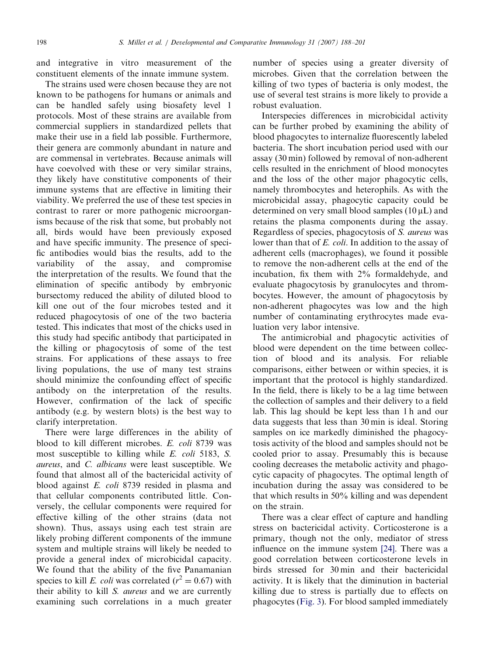and integrative in vitro measurement of the constituent elements of the innate immune system.

The strains used were chosen because they are not known to be pathogens for humans or animals and can be handled safely using biosafety level 1 protocols. Most of these strains are available from commercial suppliers in standardized pellets that make their use in a field lab possible. Furthermore, their genera are commonly abundant in nature and are commensal in vertebrates. Because animals will have coevolved with these or very similar strains, they likely have constitutive components of their immune systems that are effective in limiting their viability. We preferred the use of these test species in contrast to rarer or more pathogenic microorganisms because of the risk that some, but probably not all, birds would have been previously exposed and have specific immunity. The presence of specific antibodies would bias the results, add to the variability of the assay, and compromise the interpretation of the results. We found that the elimination of specific antibody by embryonic bursectomy reduced the ability of diluted blood to kill one out of the four microbes tested and it reduced phagocytosis of one of the two bacteria tested. This indicates that most of the chicks used in this study had specific antibody that participated in the killing or phagocytosis of some of the test strains. For applications of these assays to free living populations, the use of many test strains should minimize the confounding effect of specific antibody on the interpretation of the results. However, confirmation of the lack of specific antibody (e.g. by western blots) is the best way to clarify interpretation.

There were large differences in the ability of blood to kill different microbes. E. coli 8739 was most susceptible to killing while E. coli 5183, S. aureus, and C. albicans were least susceptible. We found that almost all of the bactericidal activity of blood against E. coli 8739 resided in plasma and that cellular components contributed little. Conversely, the cellular components were required for effective killing of the other strains (data not shown). Thus, assays using each test strain are likely probing different components of the immune system and multiple strains will likely be needed to provide a general index of microbicidal capacity. We found that the ability of the five Panamanian species to kill *E. coli* was correlated ( $r^2 = 0.67$ ) with their ability to kill S. aureus and we are currently examining such correlations in a much greater

number of species using a greater diversity of microbes. Given that the correlation between the killing of two types of bacteria is only modest, the use of several test strains is more likely to provide a robust evaluation.

Interspecies differences in microbicidal activity can be further probed by examining the ability of blood phagocytes to internalize fluorescently labeled bacteria. The short incubation period used with our assay (30 min) followed by removal of non-adherent cells resulted in the enrichment of blood monocytes and the loss of the other major phagocytic cells, namely thrombocytes and heterophils. As with the microbicidal assay, phagocytic capacity could be determined on very small blood samples  $(10 \mu L)$  and retains the plasma components during the assay. Regardless of species, phagocytosis of S. aureus was lower than that of E. coli. In addition to the assay of adherent cells (macrophages), we found it possible to remove the non-adherent cells at the end of the incubation, fix them with 2% formaldehyde, and evaluate phagocytosis by granulocytes and thrombocytes. However, the amount of phagocytosis by non-adherent phagocytes was low and the high number of contaminating erythrocytes made evaluation very labor intensive.

The antimicrobial and phagocytic activities of blood were dependent on the time between collection of blood and its analysis. For reliable comparisons, either between or within species, it is important that the protocol is highly standardized. In the field, there is likely to be a lag time between the collection of samples and their delivery to a field lab. This lag should be kept less than 1 h and our data suggests that less than 30 min is ideal. Storing samples on ice markedly diminished the phagocytosis activity of the blood and samples should not be cooled prior to assay. Presumably this is because cooling decreases the metabolic activity and phagocytic capacity of phagocytes. The optimal length of incubation during the assay was considered to be that which results in 50% killing and was dependent on the strain.

There was a clear effect of capture and handling stress on bactericidal activity. Corticosterone is a primary, though not the only, mediator of stress influence on the immune system [\[24\].](#page-13-0) There was a good correlation between corticosterone levels in birds stressed for 30 min and their bactericidal activity. It is likely that the diminution in bacterial killing due to stress is partially due to effects on phagocytes [\(Fig. 3\)](#page-8-0). For blood sampled immediately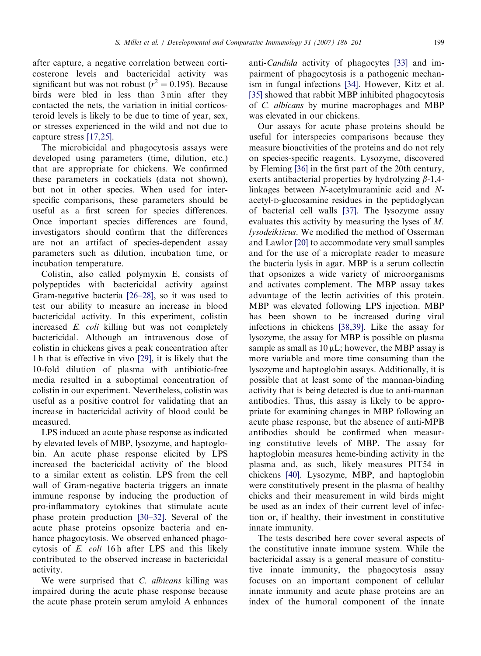after capture, a negative correlation between corticosterone levels and bactericidal activity was significant but was not robust ( $r^2 = 0.195$ ). Because birds were bled in less than 3 min after they contacted the nets, the variation in initial corticosteroid levels is likely to be due to time of year, sex, or stresses experienced in the wild and not due to capture stress [\[17,25\].](#page-13-0)

The microbicidal and phagocytosis assays were developed using parameters (time, dilution, etc.) that are appropriate for chickens. We confirmed these parameters in cockatiels (data not shown), but not in other species. When used for interspecific comparisons, these parameters should be useful as a first screen for species differences. Once important species differences are found, investigators should confirm that the differences are not an artifact of species-dependent assay parameters such as dilution, incubation time, or incubation temperature.

Colistin, also called polymyxin E, consists of polypeptides with bactericidal activity against Gram-negative bacteria [\[26–28\],](#page-13-0) so it was used to test our ability to measure an increase in blood bactericidal activity. In this experiment, colistin increased E. coli killing but was not completely bactericidal. Although an intravenous dose of colistin in chickens gives a peak concentration after 1 h that is effective in vivo [\[29\]](#page-13-0), it is likely that the 10-fold dilution of plasma with antibiotic-free media resulted in a suboptimal concentration of colistin in our experiment. Nevertheless, colistin was useful as a positive control for validating that an increase in bactericidal activity of blood could be measured.

LPS induced an acute phase response as indicated by elevated levels of MBP, lysozyme, and haptoglobin. An acute phase response elicited by LPS increased the bactericidal activity of the blood to a similar extent as colistin. LPS from the cell wall of Gram-negative bacteria triggers an innate immune response by inducing the production of pro-inflammatory cytokines that stimulate acute phase protein production [\[30–32\]](#page-13-0). Several of the acute phase proteins opsonize bacteria and enhance phagocytosis. We observed enhanced phagocytosis of  $E$ . *coli* 16h after LPS and this likely contributed to the observed increase in bactericidal activity.

We were surprised that C. albicans killing was impaired during the acute phase response because the acute phase protein serum amyloid A enhances

anti-Candida activity of phagocytes [\[33\]](#page-13-0) and impairment of phagocytosis is a pathogenic mechanism in fungal infections [\[34\].](#page-13-0) However, Kitz et al. [\[35\]](#page-13-0) showed that rabbit MBP inhibited phagocytosis of C. albicans by murine macrophages and MBP was elevated in our chickens.

Our assays for acute phase proteins should be useful for interspecies comparisons because they measure bioactivities of the proteins and do not rely on species-specific reagents. Lysozyme, discovered by Fleming [\[36\]](#page-13-0) in the first part of the 20th century, exerts antibacterial properties by hydrolyzing *b*-1,4 linkages between N-acetylmuraminic acid and Nacetyl-D-glucosamine residues in the peptidoglycan of bacterial cell walls [\[37\]](#page-13-0). The lysozyme assay evaluates this activity by measuring the lyses of M. lysodeikticus. We modified the method of Osserman and Lawlor [\[20\]](#page-13-0) to accommodate very small samples and for the use of a microplate reader to measure the bacteria lysis in agar. MBP is a serum collectin that opsonizes a wide variety of microorganisms and activates complement. The MBP assay takes advantage of the lectin activities of this protein. MBP was elevated following LPS injection. MBP has been shown to be increased during viral infections in chickens [\[38,39\]](#page-13-0). Like the assay for lysozyme, the assay for MBP is possible on plasma sample as small as  $10 \mu L$ ; however, the MBP assay is more variable and more time consuming than the lysozyme and haptoglobin assays. Additionally, it is possible that at least some of the mannan-binding activity that is being detected is due to anti-mannan antibodies. Thus, this assay is likely to be appropriate for examining changes in MBP following an acute phase response, but the absence of anti-MPB antibodies should be confirmed when measuring constitutive levels of MBP. The assay for haptoglobin measures heme-binding activity in the plasma and, as such, likely measures PIT54 in chickens [\[40\]](#page-13-0). Lysozyme, MBP, and haptoglobin were constitutively present in the plasma of healthy chicks and their measurement in wild birds might be used as an index of their current level of infection or, if healthy, their investment in constitutive innate immunity.

The tests described here cover several aspects of the constitutive innate immune system. While the bactericidal assay is a general measure of constitutive innate immunity, the phagocytosis assay focuses on an important component of cellular innate immunity and acute phase proteins are an index of the humoral component of the innate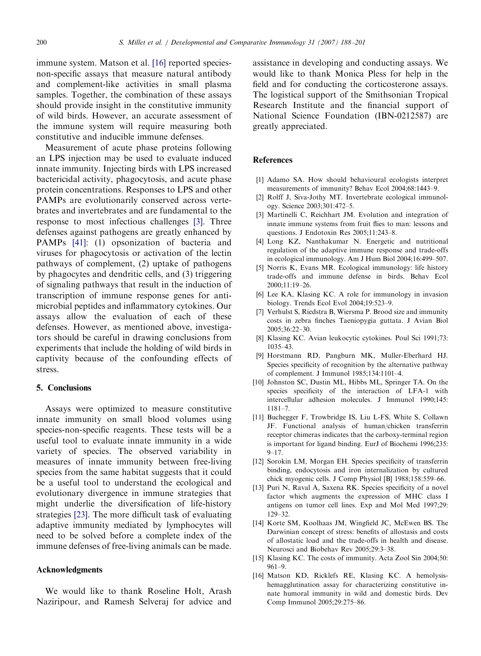<span id="page-12-0"></span>immune system. Matson et al. [16] reported speciesnon-specific assays that measure natural antibody and complement-like activities in small plasma samples. Together, the combination of these assays should provide insight in the constitutive immunity of wild birds. However, an accurate assessment of the immune system will require measuring both constitutive and inducible immune defenses.

Measurement of acute phase proteins following an LPS injection may be used to evaluate induced innate immunity. Injecting birds with LPS increased bactericidal activity, phagocytosis, and acute phase protein concentrations. Responses to LPS and other PAMPs are evolutionarily conserved across vertebrates and invertebrates and are fundamental to the response to most infectious challenges [3]. Three defenses against pathogens are greatly enhanced by PAMPs [\[41\]](#page-13-0): (1) opsonization of bacteria and viruses for phagocytosis or activation of the lectin pathways of complement, (2) uptake of pathogens by phagocytes and dendritic cells, and (3) triggering of signaling pathways that result in the induction of transcription of immune response genes for antimicrobial peptides and inflammatory cytokines. Our assays allow the evaluation of each of these defenses. However, as mentioned above, investigators should be careful in drawing conclusions from experiments that include the holding of wild birds in captivity because of the confounding effects of stress.

### 5. Conclusions

Assays were optimized to measure constitutive innate immunity on small blood volumes using species-non-specific reagents. These tests will be a useful tool to evaluate innate immunity in a wide variety of species. The observed variability in measures of innate immunity between free-living species from the same habitat suggests that it could be a useful tool to understand the ecological and evolutionary divergence in immune strategies that might underlie the diversification of life-history strategies [\[23\]](#page-13-0). The more difficult task of evaluating adaptive immunity mediated by lymphocytes will need to be solved before a complete index of the immune defenses of free-living animals can be made.

#### Acknowledgments

We would like to thank Roseline Holt, Arash Naziripour, and Ramesh Selveraj for advice and assistance in developing and conducting assays. We would like to thank Monica Pless for help in the field and for conducting the corticosterone assays. The logistical support of the Smithsonian Tropical Research Institute and the financial support of National Science Foundation (IBN-0212587) are greatly appreciated.

#### References

- [1] Adamo SA. How should behavioural ecologists interpret measurements of immunity? Behav Ecol 2004;68:1443–9.
- [2] Rolff J, Siva-Jothy MT. Invertebrate ecological immunology. Science 2003;301:472–5.
- [3] Martinelli C, Reichhart JM. Evolution and integration of innate immune systems from fruit flies to man: lessons and questions. J Endotoxin Res 2005;11:243–8.
- [4] Long KZ, Nanthakumar N. Energetic and nutritional regulation of the adaptive immune response and trade-offs in ecological immunology. Am J Hum Biol 2004;16:499–507.
- [5] Norris K, Evans MR. Ecological immunology: life history trade-offs and immune defense in birds. Behav Ecol 2000;11:19–26.
- [6] Lee KA, Klasing KC. A role for immunology in invasion biology. Trends Ecol Evol 2004;19:523–9.
- [7] Verhulst S, Riedstra B, Wiersma P. Brood size and immunity costs in zebra finches Taeniopygia guttata. J Avian Biol 2005;36:22–30.
- [8] Klasing KC. Avian leukocytic cytokines. Poul Sci 1991;73: 1035–43.
- [9] Horstmann RD, Pangburn MK, Muller-Eberhard HJ. Species specificity of recognition by the alternative pathway of complement. J Immunol 1985;134:1101–4.
- [10] Johnston SC, Dustin ML, Hibbs ML, Springer TA. On the species specificity of the interaction of LFA-1 with intercellular adhesion molecules. J Immunol 1990;145: 1181–7.
- [11] Buchegger F, Trowbridge IS, Liu L-FS, White S, Collawn JF. Functional analysis of human/chicken transferrin receptor chimeras indicates that the carboxy-terminal region is important for ligand binding. EurJ of Biochemi 1996;235: 9–17.
- [12] Sorokin LM, Morgan EH. Species specificity of transferrin binding, endocytosis and iron internalization by cultured chick myogenic cells. J Comp Physiol [B] 1988;158:559–66.
- [13] Puri N, Raval A, Saxena RK. Species specificity of a novel factor which augments the expression of MHC class I antigens on tumor cell lines. Exp and Mol Med 1997;29: 129–32.
- [14] Korte SM, Koolhaas JM, Wingfield JC, McEwen BS. The Darwinian concept of stress: benefits of allostasis and costs of allostatic load and the trade-offs in health and disease. Neurosci and Biobehav Rev 2005;29:3–38.
- [15] Klasing KC. The costs of immunity. Acta Zool Sin 2004;50: 961–9.
- [16] Matson KD, Ricklefs RE, Klasing KC. A hemolysishemagglutination assay for characterizing constitutive innate humoral immunity in wild and domestic birds. Dev Comp Immunol 2005;29:275–86.